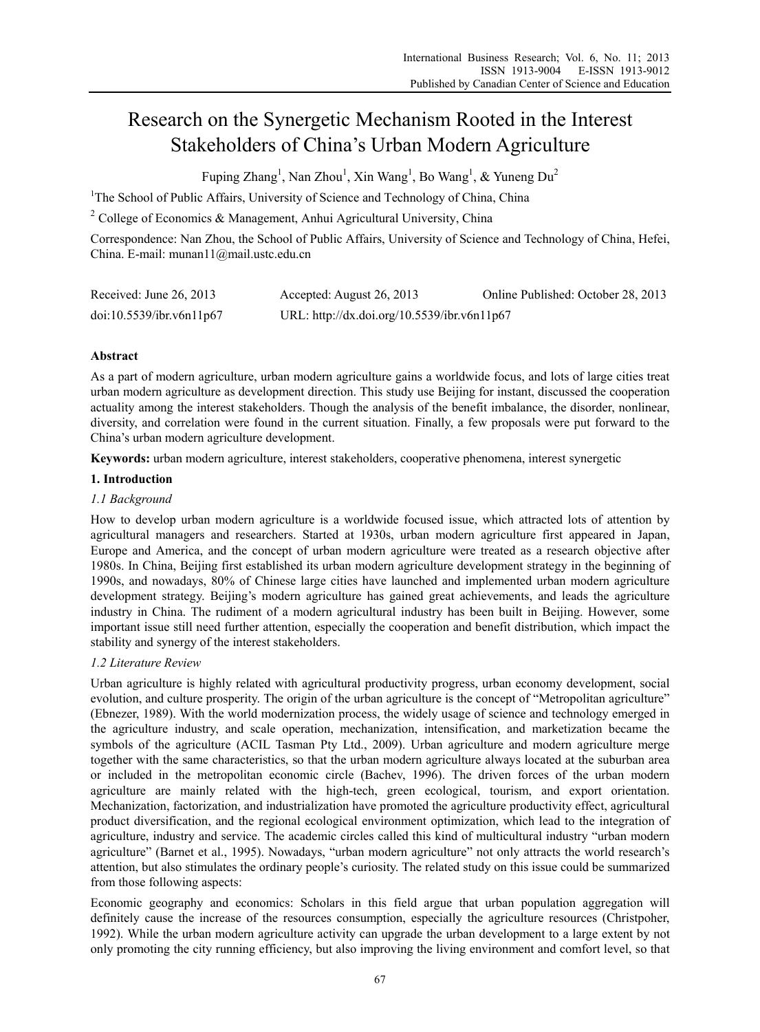# Research on the Synergetic Mechanism Rooted in the Interest Stakeholders of China's Urban Modern Agriculture

Fuping Zhang<sup>1</sup>, Nan Zhou<sup>1</sup>, Xin Wang<sup>1</sup>, Bo Wang<sup>1</sup>, & Yuneng Du<sup>2</sup>

<sup>1</sup>The School of Public Affairs, University of Science and Technology of China, China

<sup>2</sup> College of Economics & Management, Anhui Agricultural University, China

Correspondence: Nan Zhou, the School of Public Affairs, University of Science and Technology of China, Hefei, China. E-mail: munan11@mail.ustc.edu.cn

| Received: June 26, 2013  | Accepted: August 26, 2013                   | Online Published: October 28, 2013 |
|--------------------------|---------------------------------------------|------------------------------------|
| doi:10.5539/ibr.v6n11p67 | URL: http://dx.doi.org/10.5539/ibr.v6n11p67 |                                    |

# **Abstract**

As a part of modern agriculture, urban modern agriculture gains a worldwide focus, and lots of large cities treat urban modern agriculture as development direction. This study use Beijing for instant, discussed the cooperation actuality among the interest stakeholders. Though the analysis of the benefit imbalance, the disorder, nonlinear, diversity, and correlation were found in the current situation. Finally, a few proposals were put forward to the China's urban modern agriculture development.

**Keywords:** urban modern agriculture, interest stakeholders, cooperative phenomena, interest synergetic

## **1. Introduction**

## *1.1 Background*

How to develop urban modern agriculture is a worldwide focused issue, which attracted lots of attention by agricultural managers and researchers. Started at 1930s, urban modern agriculture first appeared in Japan, Europe and America, and the concept of urban modern agriculture were treated as a research objective after 1980s. In China, Beijing first established its urban modern agriculture development strategy in the beginning of 1990s, and nowadays, 80% of Chinese large cities have launched and implemented urban modern agriculture development strategy. Beijing's modern agriculture has gained great achievements, and leads the agriculture industry in China. The rudiment of a modern agricultural industry has been built in Beijing. However, some important issue still need further attention, especially the cooperation and benefit distribution, which impact the stability and synergy of the interest stakeholders.

# *1.2 Literature Review*

Urban agriculture is highly related with agricultural productivity progress, urban economy development, social evolution, and culture prosperity. The origin of the urban agriculture is the concept of "Metropolitan agriculture" (Ebnezer, 1989). With the world modernization process, the widely usage of science and technology emerged in the agriculture industry, and scale operation, mechanization, intensification, and marketization became the symbols of the agriculture (ACIL Tasman Pty Ltd., 2009). Urban agriculture and modern agriculture merge together with the same characteristics, so that the urban modern agriculture always located at the suburban area or included in the metropolitan economic circle (Bachev, 1996). The driven forces of the urban modern agriculture are mainly related with the high-tech, green ecological, tourism, and export orientation. Mechanization, factorization, and industrialization have promoted the agriculture productivity effect, agricultural product diversification, and the regional ecological environment optimization, which lead to the integration of agriculture, industry and service. The academic circles called this kind of multicultural industry "urban modern agriculture" (Barnet et al., 1995). Nowadays, "urban modern agriculture" not only attracts the world research's attention, but also stimulates the ordinary people's curiosity. The related study on this issue could be summarized from those following aspects:

Economic geography and economics: Scholars in this field argue that urban population aggregation will definitely cause the increase of the resources consumption, especially the agriculture resources (Christpoher, 1992). While the urban modern agriculture activity can upgrade the urban development to a large extent by not only promoting the city running efficiency, but also improving the living environment and comfort level, so that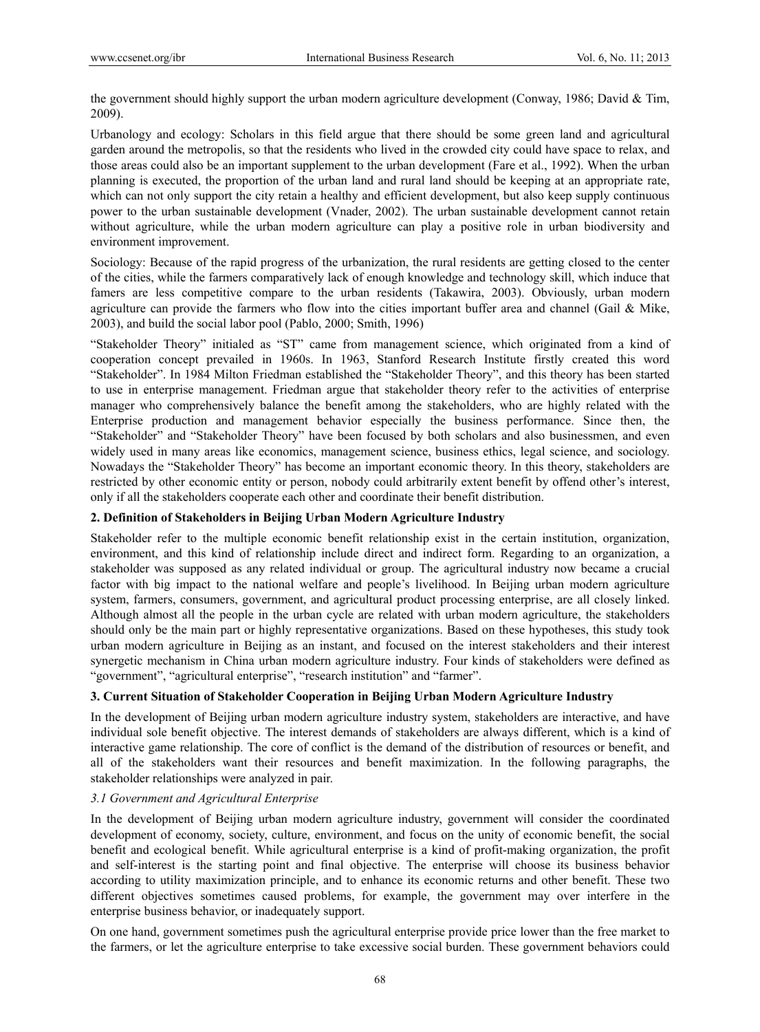the government should highly support the urban modern agriculture development (Conway, 1986; David & Tim, 2009).

Urbanology and ecology: Scholars in this field argue that there should be some green land and agricultural garden around the metropolis, so that the residents who lived in the crowded city could have space to relax, and those areas could also be an important supplement to the urban development (Fare et al., 1992). When the urban planning is executed, the proportion of the urban land and rural land should be keeping at an appropriate rate, which can not only support the city retain a healthy and efficient development, but also keep supply continuous power to the urban sustainable development (Vnader, 2002). The urban sustainable development cannot retain without agriculture, while the urban modern agriculture can play a positive role in urban biodiversity and environment improvement.

Sociology: Because of the rapid progress of the urbanization, the rural residents are getting closed to the center of the cities, while the farmers comparatively lack of enough knowledge and technology skill, which induce that famers are less competitive compare to the urban residents (Takawira, 2003). Obviously, urban modern agriculture can provide the farmers who flow into the cities important buffer area and channel (Gail & Mike, 2003), and build the social labor pool (Pablo, 2000; Smith, 1996)

"Stakeholder Theory" initialed as "ST" came from management science, which originated from a kind of cooperation concept prevailed in 1960s. In 1963, Stanford Research Institute firstly created this word "Stakeholder". In 1984 Milton Friedman established the "Stakeholder Theory", and this theory has been started to use in enterprise management. Friedman argue that stakeholder theory refer to the activities of enterprise manager who comprehensively balance the benefit among the stakeholders, who are highly related with the Enterprise production and management behavior especially the business performance. Since then, the "Stakeholder" and "Stakeholder Theory" have been focused by both scholars and also businessmen, and even widely used in many areas like economics, management science, business ethics, legal science, and sociology. Nowadays the "Stakeholder Theory" has become an important economic theory. In this theory, stakeholders are restricted by other economic entity or person, nobody could arbitrarily extent benefit by offend other's interest, only if all the stakeholders cooperate each other and coordinate their benefit distribution.

## **2. Definition of Stakeholders in Beijing Urban Modern Agriculture Industry**

Stakeholder refer to the multiple economic benefit relationship exist in the certain institution, organization, environment, and this kind of relationship include direct and indirect form. Regarding to an organization, a stakeholder was supposed as any related individual or group. The agricultural industry now became a crucial factor with big impact to the national welfare and people's livelihood. In Beijing urban modern agriculture system, farmers, consumers, government, and agricultural product processing enterprise, are all closely linked. Although almost all the people in the urban cycle are related with urban modern agriculture, the stakeholders should only be the main part or highly representative organizations. Based on these hypotheses, this study took urban modern agriculture in Beijing as an instant, and focused on the interest stakeholders and their interest synergetic mechanism in China urban modern agriculture industry. Four kinds of stakeholders were defined as "government", "agricultural enterprise", "research institution" and "farmer".

# **3. Current Situation of Stakeholder Cooperation in Beijing Urban Modern Agriculture Industry**

In the development of Beijing urban modern agriculture industry system, stakeholders are interactive, and have individual sole benefit objective. The interest demands of stakeholders are always different, which is a kind of interactive game relationship. The core of conflict is the demand of the distribution of resources or benefit, and all of the stakeholders want their resources and benefit maximization. In the following paragraphs, the stakeholder relationships were analyzed in pair.

# *3.1 Government and Agricultural Enterprise*

In the development of Beijing urban modern agriculture industry, government will consider the coordinated development of economy, society, culture, environment, and focus on the unity of economic benefit, the social benefit and ecological benefit. While agricultural enterprise is a kind of profit-making organization, the profit and self-interest is the starting point and final objective. The enterprise will choose its business behavior according to utility maximization principle, and to enhance its economic returns and other benefit. These two different objectives sometimes caused problems, for example, the government may over interfere in the enterprise business behavior, or inadequately support.

On one hand, government sometimes push the agricultural enterprise provide price lower than the free market to the farmers, or let the agriculture enterprise to take excessive social burden. These government behaviors could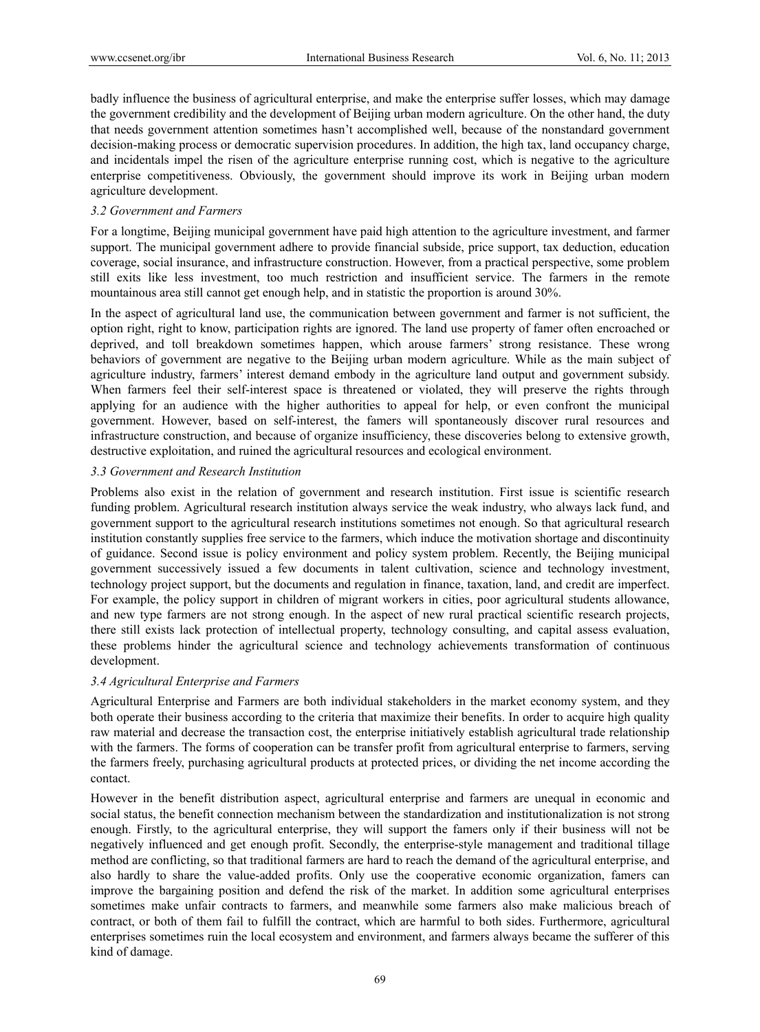badly influence the business of agricultural enterprise, and make the enterprise suffer losses, which may damage the government credibility and the development of Beijing urban modern agriculture. On the other hand, the duty that needs government attention sometimes hasn't accomplished well, because of the nonstandard government decision-making process or democratic supervision procedures. In addition, the high tax, land occupancy charge, and incidentals impel the risen of the agriculture enterprise running cost, which is negative to the agriculture enterprise competitiveness. Obviously, the government should improve its work in Beijing urban modern agriculture development.

#### *3.2 Government and Farmers*

For a longtime, Beijing municipal government have paid high attention to the agriculture investment, and farmer support. The municipal government adhere to provide financial subside, price support, tax deduction, education coverage, social insurance, and infrastructure construction. However, from a practical perspective, some problem still exits like less investment, too much restriction and insufficient service. The farmers in the remote mountainous area still cannot get enough help, and in statistic the proportion is around 30%.

In the aspect of agricultural land use, the communication between government and farmer is not sufficient, the option right, right to know, participation rights are ignored. The land use property of famer often encroached or deprived, and toll breakdown sometimes happen, which arouse farmers' strong resistance. These wrong behaviors of government are negative to the Beijing urban modern agriculture. While as the main subject of agriculture industry, farmers' interest demand embody in the agriculture land output and government subsidy. When farmers feel their self-interest space is threatened or violated, they will preserve the rights through applying for an audience with the higher authorities to appeal for help, or even confront the municipal government. However, based on self-interest, the famers will spontaneously discover rural resources and infrastructure construction, and because of organize insufficiency, these discoveries belong to extensive growth, destructive exploitation, and ruined the agricultural resources and ecological environment.

## *3.3 Government and Research Institution*

Problems also exist in the relation of government and research institution. First issue is scientific research funding problem. Agricultural research institution always service the weak industry, who always lack fund, and government support to the agricultural research institutions sometimes not enough. So that agricultural research institution constantly supplies free service to the farmers, which induce the motivation shortage and discontinuity of guidance. Second issue is policy environment and policy system problem. Recently, the Beijing municipal government successively issued a few documents in talent cultivation, science and technology investment, technology project support, but the documents and regulation in finance, taxation, land, and credit are imperfect. For example, the policy support in children of migrant workers in cities, poor agricultural students allowance, and new type farmers are not strong enough. In the aspect of new rural practical scientific research projects, there still exists lack protection of intellectual property, technology consulting, and capital assess evaluation, these problems hinder the agricultural science and technology achievements transformation of continuous development.

# *3.4 Agricultural Enterprise and Farmers*

Agricultural Enterprise and Farmers are both individual stakeholders in the market economy system, and they both operate their business according to the criteria that maximize their benefits. In order to acquire high quality raw material and decrease the transaction cost, the enterprise initiatively establish agricultural trade relationship with the farmers. The forms of cooperation can be transfer profit from agricultural enterprise to farmers, serving the farmers freely, purchasing agricultural products at protected prices, or dividing the net income according the contact.

However in the benefit distribution aspect, agricultural enterprise and farmers are unequal in economic and social status, the benefit connection mechanism between the standardization and institutionalization is not strong enough. Firstly, to the agricultural enterprise, they will support the famers only if their business will not be negatively influenced and get enough profit. Secondly, the enterprise-style management and traditional tillage method are conflicting, so that traditional farmers are hard to reach the demand of the agricultural enterprise, and also hardly to share the value-added profits. Only use the cooperative economic organization, famers can improve the bargaining position and defend the risk of the market. In addition some agricultural enterprises sometimes make unfair contracts to farmers, and meanwhile some farmers also make malicious breach of contract, or both of them fail to fulfill the contract, which are harmful to both sides. Furthermore, agricultural enterprises sometimes ruin the local ecosystem and environment, and farmers always became the sufferer of this kind of damage.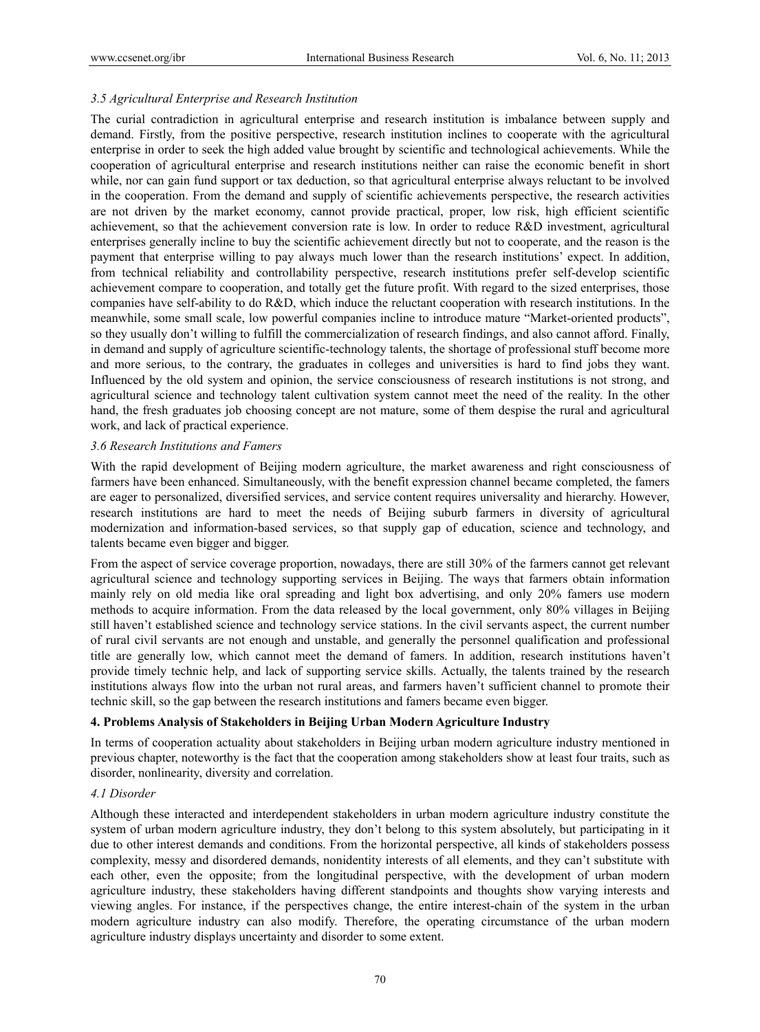# *3.5 Agricultural Enterprise and Research Institution*

The curial contradiction in agricultural enterprise and research institution is imbalance between supply and demand. Firstly, from the positive perspective, research institution inclines to cooperate with the agricultural enterprise in order to seek the high added value brought by scientific and technological achievements. While the cooperation of agricultural enterprise and research institutions neither can raise the economic benefit in short while, nor can gain fund support or tax deduction, so that agricultural enterprise always reluctant to be involved in the cooperation. From the demand and supply of scientific achievements perspective, the research activities are not driven by the market economy, cannot provide practical, proper, low risk, high efficient scientific achievement, so that the achievement conversion rate is low. In order to reduce R&D investment, agricultural enterprises generally incline to buy the scientific achievement directly but not to cooperate, and the reason is the payment that enterprise willing to pay always much lower than the research institutions' expect. In addition, from technical reliability and controllability perspective, research institutions prefer self-develop scientific achievement compare to cooperation, and totally get the future profit. With regard to the sized enterprises, those companies have self-ability to do R&D, which induce the reluctant cooperation with research institutions. In the meanwhile, some small scale, low powerful companies incline to introduce mature "Market-oriented products", so they usually don't willing to fulfill the commercialization of research findings, and also cannot afford. Finally, in demand and supply of agriculture scientific-technology talents, the shortage of professional stuff become more and more serious, to the contrary, the graduates in colleges and universities is hard to find jobs they want. Influenced by the old system and opinion, the service consciousness of research institutions is not strong, and agricultural science and technology talent cultivation system cannot meet the need of the reality. In the other hand, the fresh graduates job choosing concept are not mature, some of them despise the rural and agricultural work, and lack of practical experience.

#### *3.6 Research Institutions and Famers*

With the rapid development of Beijing modern agriculture, the market awareness and right consciousness of farmers have been enhanced. Simultaneously, with the benefit expression channel became completed, the famers are eager to personalized, diversified services, and service content requires universality and hierarchy. However, research institutions are hard to meet the needs of Beijing suburb farmers in diversity of agricultural modernization and information-based services, so that supply gap of education, science and technology, and talents became even bigger and bigger.

From the aspect of service coverage proportion, nowadays, there are still 30% of the farmers cannot get relevant agricultural science and technology supporting services in Beijing. The ways that farmers obtain information mainly rely on old media like oral spreading and light box advertising, and only 20% famers use modern methods to acquire information. From the data released by the local government, only 80% villages in Beijing still haven't established science and technology service stations. In the civil servants aspect, the current number of rural civil servants are not enough and unstable, and generally the personnel qualification and professional title are generally low, which cannot meet the demand of famers. In addition, research institutions haven't provide timely technic help, and lack of supporting service skills. Actually, the talents trained by the research institutions always flow into the urban not rural areas, and farmers haven't sufficient channel to promote their technic skill, so the gap between the research institutions and famers became even bigger.

# **4. Problems Analysis of Stakeholders in Beijing Urban Modern Agriculture Industry**

In terms of cooperation actuality about stakeholders in Beijing urban modern agriculture industry mentioned in previous chapter, noteworthy is the fact that the cooperation among stakeholders show at least four traits, such as disorder, nonlinearity, diversity and correlation.

## *4.1 Disorder*

Although these interacted and interdependent stakeholders in urban modern agriculture industry constitute the system of urban modern agriculture industry, they don't belong to this system absolutely, but participating in it due to other interest demands and conditions. From the horizontal perspective, all kinds of stakeholders possess complexity, messy and disordered demands, nonidentity interests of all elements, and they can't substitute with each other, even the opposite; from the longitudinal perspective, with the development of urban modern agriculture industry, these stakeholders having different standpoints and thoughts show varying interests and viewing angles. For instance, if the perspectives change, the entire interest-chain of the system in the urban modern agriculture industry can also modify. Therefore, the operating circumstance of the urban modern agriculture industry displays uncertainty and disorder to some extent.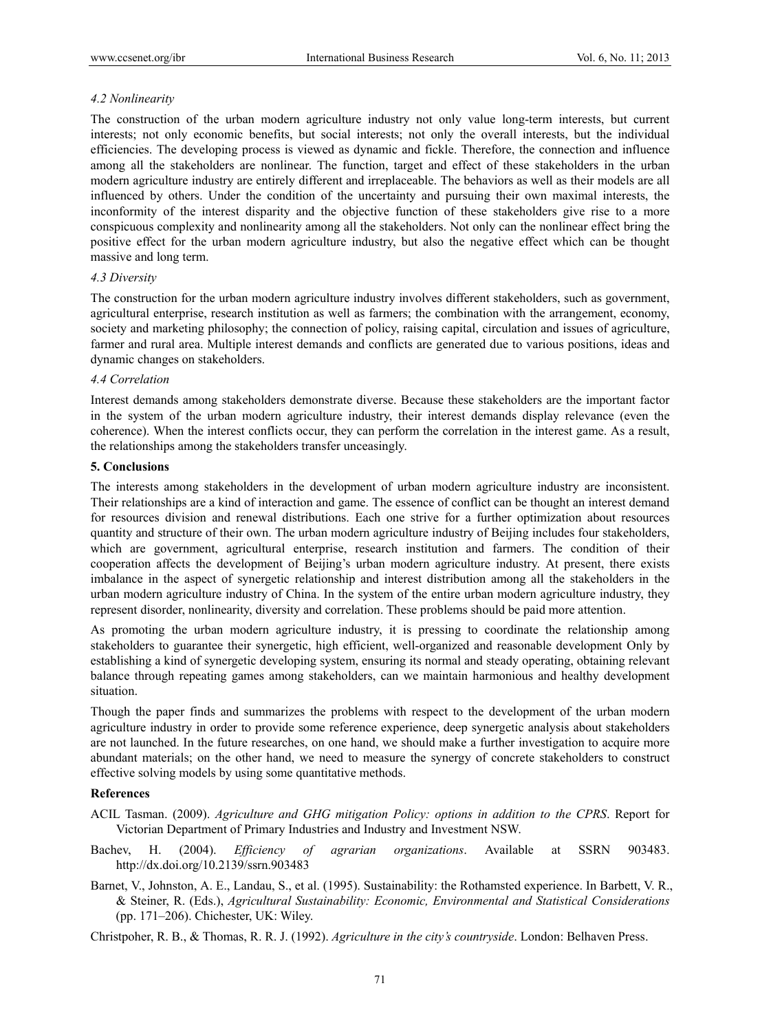## *4.2 Nonlinearity*

The construction of the urban modern agriculture industry not only value long-term interests, but current interests; not only economic benefits, but social interests; not only the overall interests, but the individual efficiencies. The developing process is viewed as dynamic and fickle. Therefore, the connection and influence among all the stakeholders are nonlinear. The function, target and effect of these stakeholders in the urban modern agriculture industry are entirely different and irreplaceable. The behaviors as well as their models are all influenced by others. Under the condition of the uncertainty and pursuing their own maximal interests, the inconformity of the interest disparity and the objective function of these stakeholders give rise to a more conspicuous complexity and nonlinearity among all the stakeholders. Not only can the nonlinear effect bring the positive effect for the urban modern agriculture industry, but also the negative effect which can be thought massive and long term.

## *4.3 Diversity*

The construction for the urban modern agriculture industry involves different stakeholders, such as government, agricultural enterprise, research institution as well as farmers; the combination with the arrangement, economy, society and marketing philosophy; the connection of policy, raising capital, circulation and issues of agriculture, farmer and rural area. Multiple interest demands and conflicts are generated due to various positions, ideas and dynamic changes on stakeholders.

#### *4.4 Correlation*

Interest demands among stakeholders demonstrate diverse. Because these stakeholders are the important factor in the system of the urban modern agriculture industry, their interest demands display relevance (even the coherence). When the interest conflicts occur, they can perform the correlation in the interest game. As a result, the relationships among the stakeholders transfer unceasingly.

#### **5. Conclusions**

The interests among stakeholders in the development of urban modern agriculture industry are inconsistent. Their relationships are a kind of interaction and game. The essence of conflict can be thought an interest demand for resources division and renewal distributions. Each one strive for a further optimization about resources quantity and structure of their own. The urban modern agriculture industry of Beijing includes four stakeholders, which are government, agricultural enterprise, research institution and farmers. The condition of their cooperation affects the development of Beijing's urban modern agriculture industry. At present, there exists imbalance in the aspect of synergetic relationship and interest distribution among all the stakeholders in the urban modern agriculture industry of China. In the system of the entire urban modern agriculture industry, they represent disorder, nonlinearity, diversity and correlation. These problems should be paid more attention.

As promoting the urban modern agriculture industry, it is pressing to coordinate the relationship among stakeholders to guarantee their synergetic, high efficient, well-organized and reasonable development Only by establishing a kind of synergetic developing system, ensuring its normal and steady operating, obtaining relevant balance through repeating games among stakeholders, can we maintain harmonious and healthy development situation.

Though the paper finds and summarizes the problems with respect to the development of the urban modern agriculture industry in order to provide some reference experience, deep synergetic analysis about stakeholders are not launched. In the future researches, on one hand, we should make a further investigation to acquire more abundant materials; on the other hand, we need to measure the synergy of concrete stakeholders to construct effective solving models by using some quantitative methods.

## **References**

- ACIL Tasman. (2009). *Agriculture and GHG mitigation Policy: options in addition to the CPRS*. Report for Victorian Department of Primary Industries and Industry and Investment NSW.
- Bachev, H. (2004). *Efficiency of agrarian organizations*. Available at SSRN 903483. http://dx.doi.org/10.2139/ssrn.903483
- Barnet, V., Johnston, A. E., Landau, S., et al. (1995). Sustainability: the Rothamsted experience. In Barbett, V. R., & Steiner, R. (Eds.), *Agricultural Sustainability: Economic, Environmental and Statistical Considerations* (pp. 171–206). Chichester, UK: Wiley.

Christpoher, R. B., & Thomas, R. R. J. (1992). *Agriculture in the city's countryside*. London: Belhaven Press.